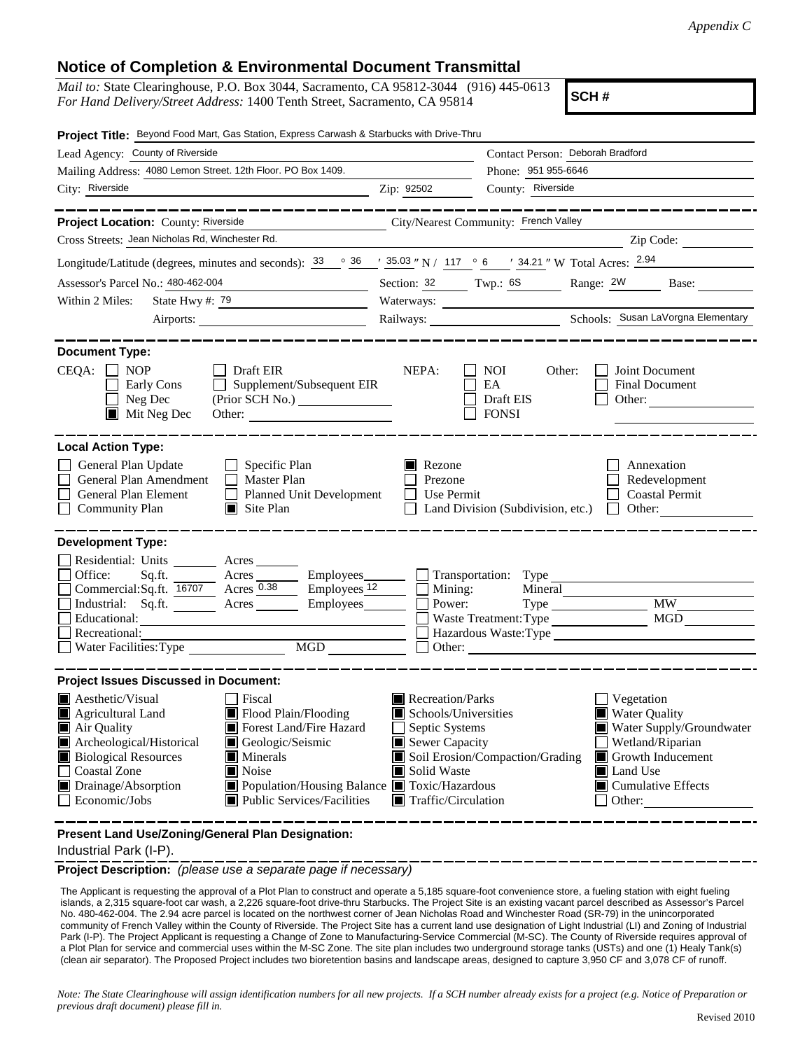## **Notice of Completion & Environmental Document Transmittal**

*Mail to:* State Clearinghouse, P.O. Box 3044, Sacramento, CA 95812-3044 (916) 445-0613 *For Hand Delivery/Street Address:* 1400 Tenth Street, Sacramento, CA 95814

**SCH #**

| Project Title: Beyond Food Mart, Gas Station, Express Carwash & Starbucks with Drive-Thru                                                                                                                                                                                                                                                        |                                                                                                                                                                                                                                                                                      |                                                                                                                                                                                                                                                                                                                                                                  |           |  |
|--------------------------------------------------------------------------------------------------------------------------------------------------------------------------------------------------------------------------------------------------------------------------------------------------------------------------------------------------|--------------------------------------------------------------------------------------------------------------------------------------------------------------------------------------------------------------------------------------------------------------------------------------|------------------------------------------------------------------------------------------------------------------------------------------------------------------------------------------------------------------------------------------------------------------------------------------------------------------------------------------------------------------|-----------|--|
| Lead Agency: County of Riverside                                                                                                                                                                                                                                                                                                                 | Contact Person: Deborah Bradford                                                                                                                                                                                                                                                     |                                                                                                                                                                                                                                                                                                                                                                  |           |  |
| Mailing Address: 4080 Lemon Street. 12th Floor. PO Box 1409.                                                                                                                                                                                                                                                                                     |                                                                                                                                                                                                                                                                                      | Phone: 951 955-6646                                                                                                                                                                                                                                                                                                                                              |           |  |
| City: Riverside                                                                                                                                                                                                                                                                                                                                  | Zip: 92502                                                                                                                                                                                                                                                                           | County: Riverside                                                                                                                                                                                                                                                                                                                                                |           |  |
|                                                                                                                                                                                                                                                                                                                                                  |                                                                                                                                                                                                                                                                                      | . _ _ _ _ _ _ _ _ _ _ _ _ _ _ _ _                                                                                                                                                                                                                                                                                                                                |           |  |
| Project Location: County: Riverside                                                                                                                                                                                                                                                                                                              | City/Nearest Community: French Valley                                                                                                                                                                                                                                                |                                                                                                                                                                                                                                                                                                                                                                  |           |  |
| Cross Streets: Jean Nicholas Rd, Winchester Rd.                                                                                                                                                                                                                                                                                                  |                                                                                                                                                                                                                                                                                      |                                                                                                                                                                                                                                                                                                                                                                  | Zip Code: |  |
| Longitude/Latitude (degrees, minutes and seconds): $\frac{33}{9}$ $\frac{36}{9}$ $\frac{1}{35.03}$ " N / 117 $\degree$ 6 $\degree$ 34.21 " W Total Acres: $\frac{2.94}{9}$                                                                                                                                                                       |                                                                                                                                                                                                                                                                                      |                                                                                                                                                                                                                                                                                                                                                                  |           |  |
| Assessor's Parcel No.: 480-462-004<br><u> 1990 - Johann Barbara, martin a</u>                                                                                                                                                                                                                                                                    |                                                                                                                                                                                                                                                                                      | Section: 32 Twp.: 6S Range: 2W Base:                                                                                                                                                                                                                                                                                                                             |           |  |
| State Hwy #: $\frac{79}{ }$<br>Within 2 Miles:                                                                                                                                                                                                                                                                                                   |                                                                                                                                                                                                                                                                                      | Waterways:                                                                                                                                                                                                                                                                                                                                                       |           |  |
|                                                                                                                                                                                                                                                                                                                                                  |                                                                                                                                                                                                                                                                                      |                                                                                                                                                                                                                                                                                                                                                                  |           |  |
| <b>Document Type:</b><br>$CEQA: \Box NP$<br>  Draft EIR<br>Supplement/Subsequent EIR<br>Early Cons<br>Neg Dec<br>$\blacksquare$<br>$\blacksquare$ Mit Neg Dec<br>Other:                                                                                                                                                                          | NEPA:                                                                                                                                                                                                                                                                                | NOI<br>Other:<br>Joint Document<br>EA<br>Final Document<br>Draft EIS<br>Other:<br><b>FONSI</b>                                                                                                                                                                                                                                                                   |           |  |
| <b>Local Action Type:</b><br>General Plan Update<br>$\Box$ Specific Plan<br>General Plan Amendment<br>$\Box$ Master Plan<br>General Plan Element<br>$\mathcal{L}_{\mathcal{A}}$<br><b>Planned Unit Development</b><br><b>Community Plan</b><br>$\blacksquare$ Site Plan                                                                          | $\blacksquare$ Rezone<br>Prezone<br>$\Box$ Use Permit                                                                                                                                                                                                                                | Annexation<br>Redevelopment<br><b>Coastal Permit</b><br>Land Division (Subdivision, etc.)<br>Other: $\qquad \qquad$<br>$\perp$                                                                                                                                                                                                                                   |           |  |
| <b>Development Type:</b><br>Residential: Units<br>Acres<br>Office:<br>Sq.ft.<br>Commercial:Sq.ft. 16707 Acres 0.38<br>Industrial: Sq.ft. Acres Employees<br>Educational:<br>Recreational:<br>Water Facilities: Type                                                                                                                              | $\equiv$ Employees $\frac{12}{ }$<br>$\Box$ Mining:<br>MGD THE MODEL SERVICE STATES OF THE MODEL STATES OF THE MODEL STATES OF THE MODEL STATES OF THE MODEL STATES OF THE MODEL STATES OF THE MODEL STATES OF THE MODEL STATES OF THE MODEL STATES OF THE MODEL STATES OF THE MODEL | Acres Employees Transportation: Type<br>Power:<br><b>MW</b><br>Waste Treatment: Type<br>Hazardous Waste:Type                                                                                                                                                                                                                                                     |           |  |
| <b>Project Issues Discussed in Document:</b>                                                                                                                                                                                                                                                                                                     |                                                                                                                                                                                                                                                                                      |                                                                                                                                                                                                                                                                                                                                                                  |           |  |
| $\blacksquare$ Aesthetic/Visual<br>Fiscal<br>Flood Plain/Flooding<br>Agricultural Land<br>Forest Land/Fire Hazard<br>Air Quality<br>Archeological/Historical<br>Geologic/Seismic<br><b>Biological Resources</b><br>Minerals<br><b>Coastal Zone</b><br>Noise<br>Drainage/Absorption<br>Economic/Jobs<br>$\blacksquare$ Public Services/Facilities | Population/Housing Balance <b>T</b> Toxic/Hazardous                                                                                                                                                                                                                                  | Recreation/Parks<br>Vegetation<br>Schools/Universities<br><b>Water Quality</b><br>$\Box$ Septic Systems<br>Water Supply/Groundwater<br>$\blacksquare$ Sewer Capacity<br>Wetland/Riparian<br>Soil Erosion/Compaction/Grading<br>Growth Inducement<br>Solid Waste<br>Land Use<br>$\blacksquare$ Cumulative Effects<br>$\blacksquare$ Traffic/Circulation<br>Other: |           |  |
| Present Land Use/Zoning/General Plan Designation:                                                                                                                                                                                                                                                                                                |                                                                                                                                                                                                                                                                                      |                                                                                                                                                                                                                                                                                                                                                                  |           |  |

Industrial Park (I-P).

**Project Description:** *(please use a separate page if necessary)*

 The Applicant is requesting the approval of a Plot Plan to construct and operate a 5,185 square-foot convenience store, a fueling station with eight fueling islands, a 2,315 square-foot car wash, a 2,226 square-foot drive-thru Starbucks. The Project Site is an existing vacant parcel described as Assessor's Parcel No. 480-462-004. The 2.94 acre parcel is located on the northwest corner of Jean Nicholas Road and Winchester Road (SR-79) in the unincorporated community of French Valley within the County of Riverside. The Project Site has a current land use designation of Light Industrial (LI) and Zoning of Industrial Park (I-P). The Project Applicant is requesting a Change of Zone to Manufacturing-Service Commercial (M-SC). The County of Riverside requires approval of a Plot Plan for service and commercial uses within the M-SC Zone. The site plan includes two underground storage tanks (USTs) and one (1) Healy Tank(s) (clean air separator). The Proposed Project includes two bioretention basins and landscape areas, designed to capture 3,950 CF and 3,078 CF of runoff.

*Note: The State Clearinghouse will assign identification numbers for all new projects. If a SCH number already exists for a project (e.g. Notice of Preparation or previous draft document) please fill in.*